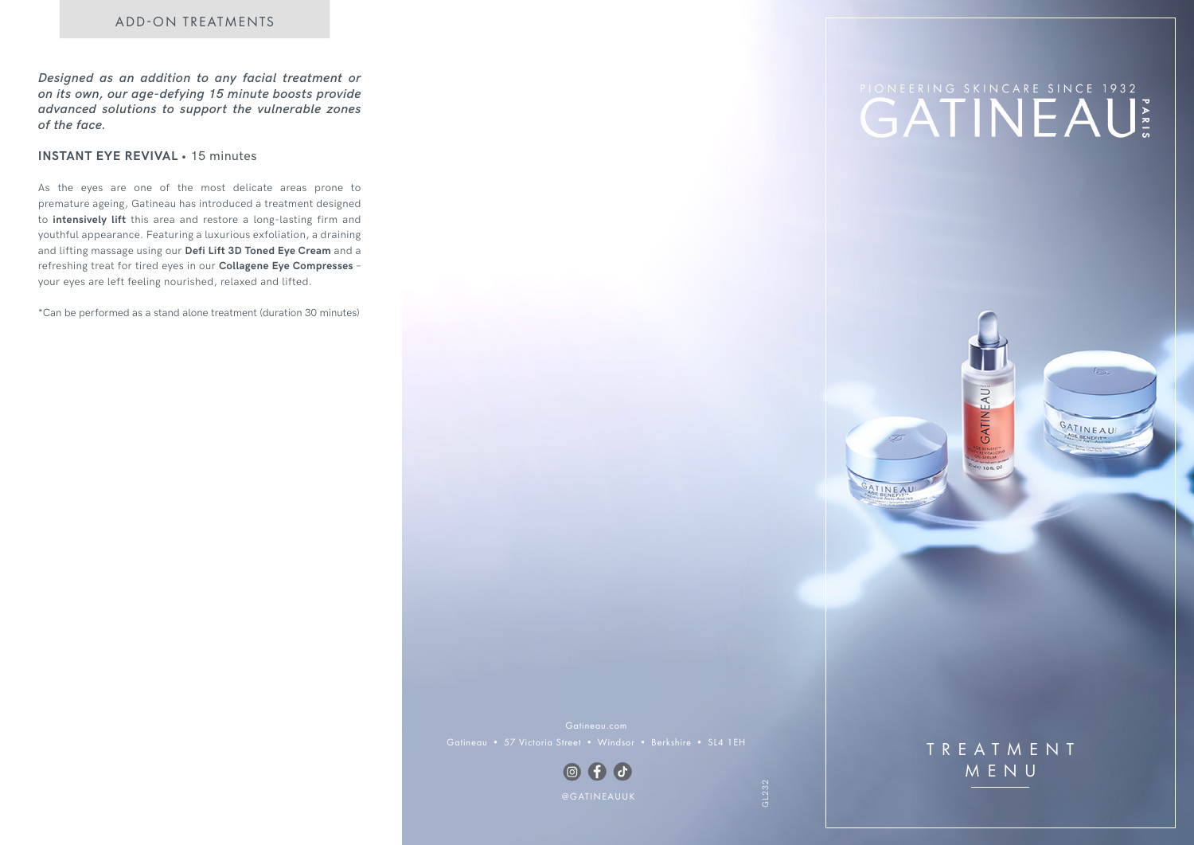*Designed as an addition to any facial treatment or on its own, our age-defying 15 minute boosts provide advanced solutions to support the vulnerable zones of the face.* 

## **INSTANT EYE REVIVAL •** 15 minutes

As the eyes are one of the most delicate areas prone to premature ageing, Gatineau has introduced a treatment designed to **intensively lift** this area and restore a long-lasting firm and youthful appearance. Featuring a luxurious exfoliation, a draining and lifting massage using our **Defi Lift 3D Toned Eye Cream** and a refreshing treat for tired eyes in our **Collagene Eye Compresses** – your eyes are left feeling nourished, relaxed and lifted.

\*Can be performed as a stand alone treatment (duration 30 minutes)

# **CATINEAU**

GATINEAU

ATINEAL

المعتقة

GATINEAU